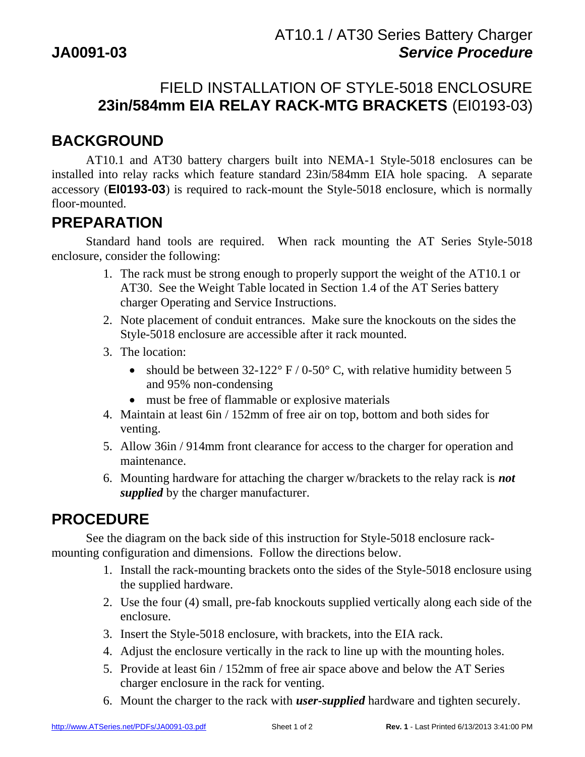## FIELD INSTALLATION OF STYLE-5018 ENCLOSURE **23in/584mm EIA RELAY RACK-MTG BRACKETS** (EI0193-03)

## **BACKGROUND**

 AT10.1 and AT30 battery chargers built into NEMA-1 Style-5018 enclosures can be installed into relay racks which feature standard 23in/584mm EIA hole spacing. A separate accessory (**EI0193-03**) is required to rack-mount the Style-5018 enclosure, which is normally floor-mounted.

#### **PREPARATION**

 Standard hand tools are required. When rack mounting the AT Series Style-5018 enclosure, consider the following:

- 1. The rack must be strong enough to properly support the weight of the AT10.1 or AT30. See the Weight Table located in Section 1.4 of the AT Series battery charger Operating and Service Instructions.
- 2. Note placement of conduit entrances. Make sure the knockouts on the sides the Style-5018 enclosure are accessible after it rack mounted.
- 3. The location:
	- should be between  $32-122^{\circ}$  F / 0-50° C, with relative humidity between 5 and 95% non-condensing
	- must be free of flammable or explosive materials
- 4. Maintain at least 6in / 152mm of free air on top, bottom and both sides for venting.
- 5. Allow 36in / 914mm front clearance for access to the charger for operation and maintenance.
- 6. Mounting hardware for attaching the charger w/brackets to the relay rack is *not supplied* by the charger manufacturer.

# **PROCEDURE**

 See the diagram on the back side of this instruction for Style-5018 enclosure rackmounting configuration and dimensions. Follow the directions below.

- 1. Install the rack-mounting brackets onto the sides of the Style-5018 enclosure using the supplied hardware.
- 2. Use the four (4) small, pre-fab knockouts supplied vertically along each side of the enclosure.
- 3. Insert the Style-5018 enclosure, with brackets, into the EIA rack.
- 4. Adjust the enclosure vertically in the rack to line up with the mounting holes.
- 5. Provide at least 6in / 152mm of free air space above and below the AT Series charger enclosure in the rack for venting.
- 6. Mount the charger to the rack with *user-supplied* hardware and tighten securely.